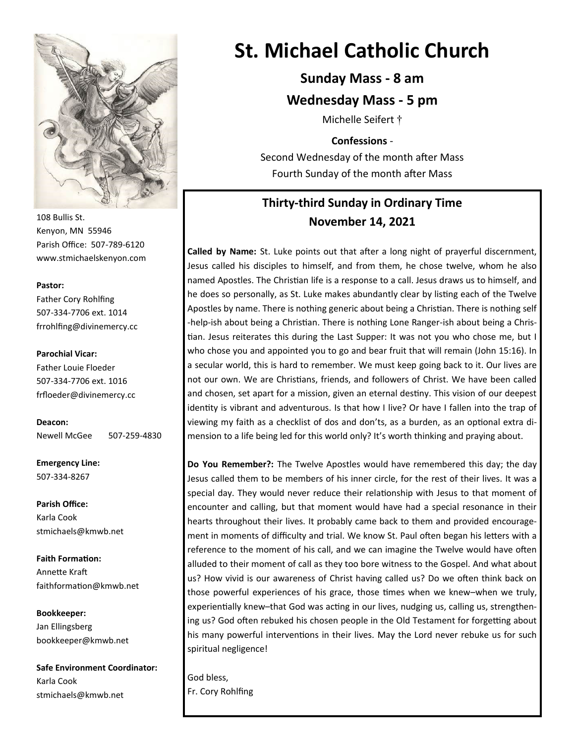

108 Bullis St. Kenyon, MN 55946 Parish Office: 507-789-6120 www.stmichaelskenyon.com

#### **Pastor:**

Father Cory Rohlfing 507-334-7706 ext. 1014 frrohlfing@divinemercy.cc

#### **Parochial Vicar:**

Father Louie Floeder 507-334-7706 ext. 1016 frfloeder@divinemercy.cc

**Deacon:**  Newell McGee 507-259-4830

**Emergency Line:** 507-334-8267

**Parish Office:**  Karla Cook stmichaels@kmwb.net

**Faith Formation:**  Annette Kraft faithformation@kmwb.net

**Bookkeeper:**  Jan Ellingsberg bookkeeper@kmwb.net

**Safe Environment Coordinator:** Karla Cook stmichaels@kmwb.net

# **St. Michael Catholic Church**

# **Sunday Mass - 8 am**

### **Wednesday Mass - 5 pm**

Michelle Seifert †

### **Confessions** -

Second Wednesday of the month after Mass Fourth Sunday of the month after Mass

# **Thirty-third Sunday in Ordinary Time November 14, 2021**

**Called by Name:** St. Luke points out that after a long night of prayerful discernment, Jesus called his disciples to himself, and from them, he chose twelve, whom he also named Apostles. The Christian life is a response to a call. Jesus draws us to himself, and he does so personally, as St. Luke makes abundantly clear by listing each of the Twelve Apostles by name. There is nothing generic about being a Christian. There is nothing self -help-ish about being a Christian. There is nothing Lone Ranger-ish about being a Christian. Jesus reiterates this during the Last Supper: It was not you who chose me, but I who chose you and appointed you to go and bear fruit that will remain (John 15:16). In a secular world, this is hard to remember. We must keep going back to it. Our lives are not our own. We are Christians, friends, and followers of Christ. We have been called and chosen, set apart for a mission, given an eternal destiny. This vision of our deepest identity is vibrant and adventurous. Is that how I live? Or have I fallen into the trap of viewing my faith as a checklist of dos and don'ts, as a burden, as an optional extra dimension to a life being led for this world only? It's worth thinking and praying about.

**Do You Remember?:** The Twelve Apostles would have remembered this day; the day Jesus called them to be members of his inner circle, for the rest of their lives. It was a special day. They would never reduce their relationship with Jesus to that moment of encounter and calling, but that moment would have had a special resonance in their hearts throughout their lives. It probably came back to them and provided encouragement in moments of difficulty and trial. We know St. Paul often began his letters with a reference to the moment of his call, and we can imagine the Twelve would have often alluded to their moment of call as they too bore witness to the Gospel. And what about us? How vivid is our awareness of Christ having called us? Do we often think back on those powerful experiences of his grace, those times when we knew–when we truly, experientially knew–that God was acting in our lives, nudging us, calling us, strengthening us? God often rebuked his chosen people in the Old Testament for forgetting about his many powerful interventions in their lives. May the Lord never rebuke us for such spiritual negligence!

God bless, Fr. Cory Rohlfing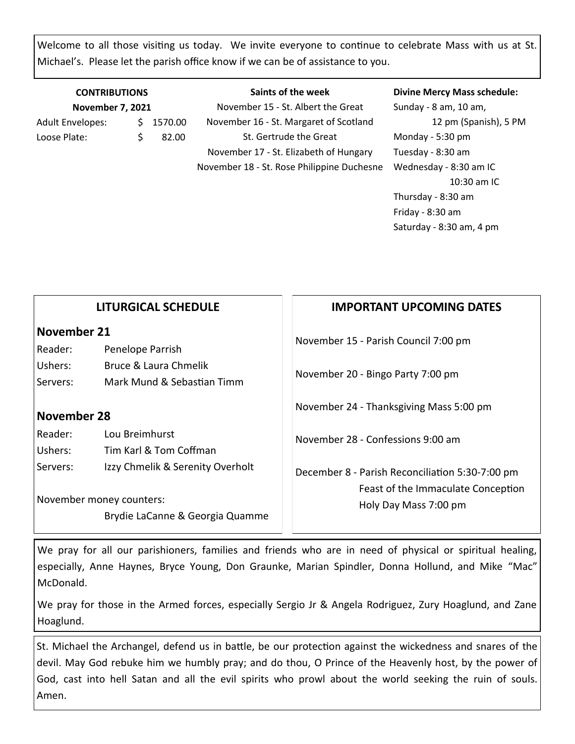Welcome to all those visiting us today. We invite everyone to continue to celebrate Mass with us at St. Michael's. Please let the parish office know if we can be of assistance to you.

| <b>CONTRIBUTIONS</b><br><b>November 7, 2021</b> |  |         | Saints of the week                         | <b>Divine Mercy Mass schedule:</b> |
|-------------------------------------------------|--|---------|--------------------------------------------|------------------------------------|
|                                                 |  |         | November 15 - St. Albert the Great         | Sunday - 8 am, 10 am,              |
| <b>Adult Envelopes:</b>                         |  | 1570.00 | November 16 - St. Margaret of Scotland     | 12 pm (Spanish), 5 PM              |
| Loose Plate:                                    |  | 82.00   | St. Gertrude the Great                     | Monday - 5:30 pm                   |
|                                                 |  |         | November 17 - St. Elizabeth of Hungary     | Tuesday - 8:30 am                  |
|                                                 |  |         | November 18 - St. Rose Philippine Duchesne | Wednesday - 8:30 am IC             |

Friday - 8:30 am Saturday - 8:30 am, 4 pm  $\vert \ \ \vert$ **LITURGICAL SCHEDULE IMPORTANT UPCOMING DATES**

10:30 am IC

Thursday - 8:30 am

|                                               | LITURGICAL SCHEDULE                                                                             | IMPORIANI UPLOMING DAIES                                                                                       |  |
|-----------------------------------------------|-------------------------------------------------------------------------------------------------|----------------------------------------------------------------------------------------------------------------|--|
| November 21<br>Reader:<br>Ushers:<br>Servers: | Penelope Parrish<br>Bruce & Laura Chmelik<br>Mark Mund & Sebastian Timm                         | November 15 - Parish Council 7:00 pm<br>November 20 - Bingo Party 7:00 pm                                      |  |
| November 28                                   |                                                                                                 | November 24 - Thanksgiving Mass 5:00 pm                                                                        |  |
| Reader:<br>Ushers:                            | Lou Breimhurst<br>Tim Karl & Tom Coffman                                                        | November 28 - Confessions 9:00 am                                                                              |  |
| Servers:                                      | Izzy Chmelik & Serenity Overholt<br>November money counters:<br>Brydie LaCanne & Georgia Quamme | December 8 - Parish Reconciliation 5:30-7:00 pm<br>Feast of the Immaculate Conception<br>Holy Day Mass 7:00 pm |  |
|                                               |                                                                                                 |                                                                                                                |  |

We pray for all our parishioners, families and friends who are in need of physical or spiritual healing, especially, Anne Haynes, Bryce Young, Don Graunke, Marian Spindler, Donna Hollund, and Mike "Mac" McDonald.

We pray for those in the Armed forces, especially Sergio Jr & Angela Rodriguez, Zury Hoaglund, and Zane Hoaglund.

St. Michael the Archangel, defend us in battle, be our protection against the wickedness and snares of the devil. May God rebuke him we humbly pray; and do thou, O Prince of the Heavenly host, by the power of God, cast into hell Satan and all the evil spirits who prowl about the world seeking the ruin of souls. Amen.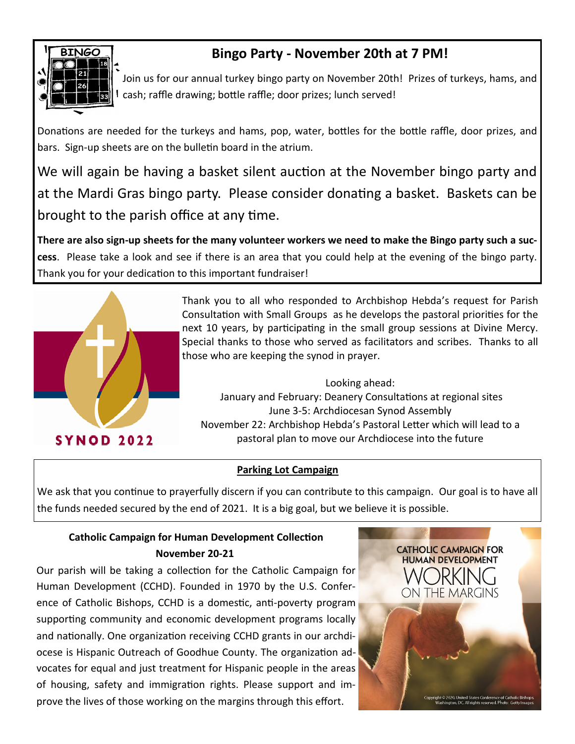

# **Bingo Party - November 20th at 7 PM!**

Join us for our annual turkey bingo party on November 20th! Prizes of turkeys, hams, and cash; raffle drawing; bottle raffle; door prizes; lunch served!

Donations are needed for the turkeys and hams, pop, water, bottles for the bottle raffle, door prizes, and bars. Sign-up sheets are on the bulletin board in the atrium.

We will again be having a basket silent auction at the November bingo party and at the Mardi Gras bingo party. Please consider donating a basket. Baskets can be brought to the parish office at any time.

**There are also sign-up sheets for the many volunteer workers we need to make the Bingo party such a success**. Please take a look and see if there is an area that you could help at the evening of the bingo party. Thank you for your dedication to this important fundraiser!



Thank you to all who responded to Archbishop Hebda's request for Parish Consultation with Small Groups as he develops the pastoral priorities for the next 10 years, by participating in the small group sessions at Divine Mercy. Special thanks to those who served as facilitators and scribes. Thanks to all those who are keeping the synod in prayer.

Looking ahead: January and February: Deanery Consultations at regional sites June 3-5: Archdiocesan Synod Assembly November 22: Archbishop Hebda's Pastoral Letter which will lead to a pastoral plan to move our Archdiocese into the future

## **Parking Lot Campaign**

We ask that you continue to prayerfully discern if you can contribute to this campaign. Our goal is to have all the funds needed secured by the end of 2021. It is a big goal, but we believe it is possible.

# **Catholic Campaign for Human Development Collection November 20-21**

Our parish will be taking a collection for the Catholic Campaign for Human Development (CCHD). Founded in 1970 by the U.S. Conference of Catholic Bishops, CCHD is a domestic, anti-poverty program supporting community and economic development programs locally and nationally. One organization receiving CCHD grants in our archdiocese is Hispanic Outreach of Goodhue County. The organization advocates for equal and just treatment for Hispanic people in the areas of housing, safety and immigration rights. Please support and improve the lives of those working on the margins through this effort.